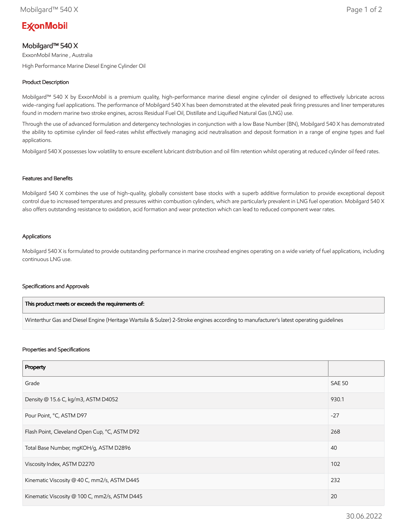# **ExconMobil**

# Mobilgard™ 540 X

ExxonMobil Marine , Australia

High Performance Marine Diesel Engine Cylinder Oil

## Product Description

Mobilgard™ 540 X by ExxonMobil is a premium quality, high-performance marine diesel engine cylinder oil designed to effectively lubricate across wide-ranging fuel applications. The performance of Mobilgard 540 X has been demonstrated at the elevated peak firing pressures and liner temperatures found in modern marine two stroke engines, across Residual Fuel Oil, Distillate and Liquified Natural Gas (LNG) use.

Through the use of advanced formulation and detergency technologies in conjunction with a low Base Number (BN), Mobilgard 540 X has demonstrated the ability to optimise cylinder oil feed-rates whilst effectively managing acid neutralisation and deposit formation in a range of engine types and fuel applications.

Mobilgard 540 X possesses low volatility to ensure excellent lubricant distribution and oil film retention whilst operating at reduced cylinder oil feed rates.

### Features and Benefits

Mobilgard 540 X combines the use of high-quality, globally consistent base stocks with a superb additive formulation to provide exceptional deposit control due to increased temperatures and pressures within combustion cylinders, which are particularly prevalent in LNG fuel operation. Mobilgard 540 X also offers outstanding resistance to oxidation, acid formation and wear protection which can lead to reduced component wear rates.

### Applications

Mobilgard 540 X is formulated to provide outstanding performance in marine crosshead engines operating on a wide variety of fuel applications, including continuous LNG use.

#### Specifications and Approvals

| This product meets or exceeds the requirements of:                                                                                     |
|----------------------------------------------------------------------------------------------------------------------------------------|
| Winterthur Gas and Diesel Engine (Heritage Wartsila & Sulzer) 2-Stroke engines according to manufacturer's latest operating quidelines |

#### Properties and Specifications

| Property                                      |               |
|-----------------------------------------------|---------------|
| Grade                                         | <b>SAE 50</b> |
| Density @ 15.6 C, kg/m3, ASTM D4052           | 930.1         |
| Pour Point, °C, ASTM D97                      | $-27$         |
| Flash Point, Cleveland Open Cup, °C, ASTM D92 | 268           |
| Total Base Number, mgKOH/g, ASTM D2896        | 40            |
| Viscosity Index, ASTM D2270                   | 102           |
| Kinematic Viscosity @ 40 C, mm2/s, ASTM D445  | 232           |
| Kinematic Viscosity @ 100 C, mm2/s, ASTM D445 | 20            |